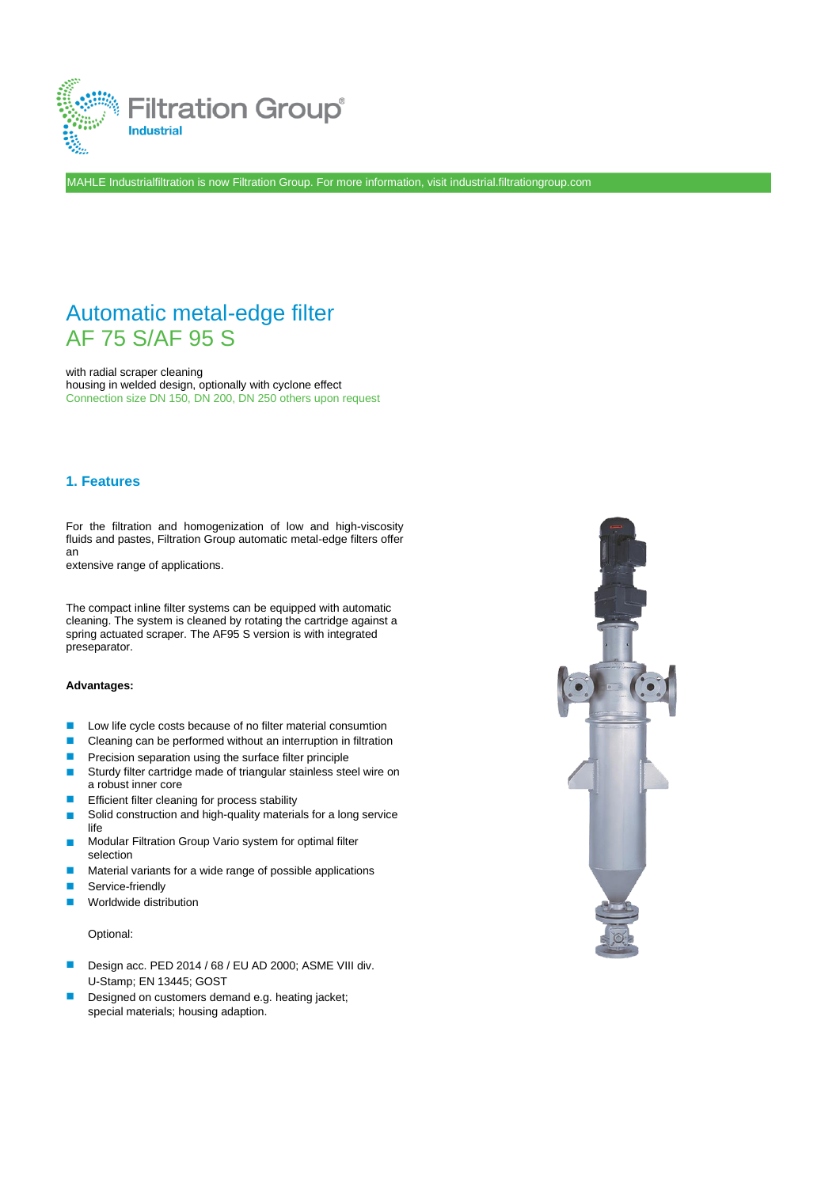

MAHLE Industrialfiltration is now Filtration Group. For more information, visit industrial.filtrationgroup.com

# Automatic metal-edge filter AF 75 S/AF 95 S

with radial scraper cleaning housing in welded design, optionally with cyclone effect Connection size DN 150, DN 200, DN 250 others upon request

### **1. Features**

For the filtration and homogenization of low and high-viscosity fluids and pastes, Filtration Group automatic metal-edge filters offer an

extensive range of applications.

The compact inline filter systems can be equipped with automatic cleaning. The system is cleaned by rotating the cartridge against a spring actuated scraper. The AF95 S version is with integrated preseparator.

### **Advantages:**

- ◼ Low life cycle costs because of no filter material consumtion
- ◼ Cleaning can be performed without an interruption in filtration
- ◼ Precision separation using the surface filter principle
- ◼ Sturdy filter cartridge made of triangular stainless steel wire on a robust inner core
- Efficient filter cleaning for process stability ◼
- Solid construction and high-quality materials for a long service life ◼
- Modular Filtration Group Vario system for optimal filter selection ◼
- Material variants for a wide range of possible applications ◼
- Service-friendly ◼
- Worldwide distribution ◼

#### Optional:

- Design acc. PED 2014 / 68 / EU AD 2000; ASME VIII div. U-Stamp; EN 13445; GOST
- Designed on customers demand e.g. heating jacket; special materials; housing adaption. ◼

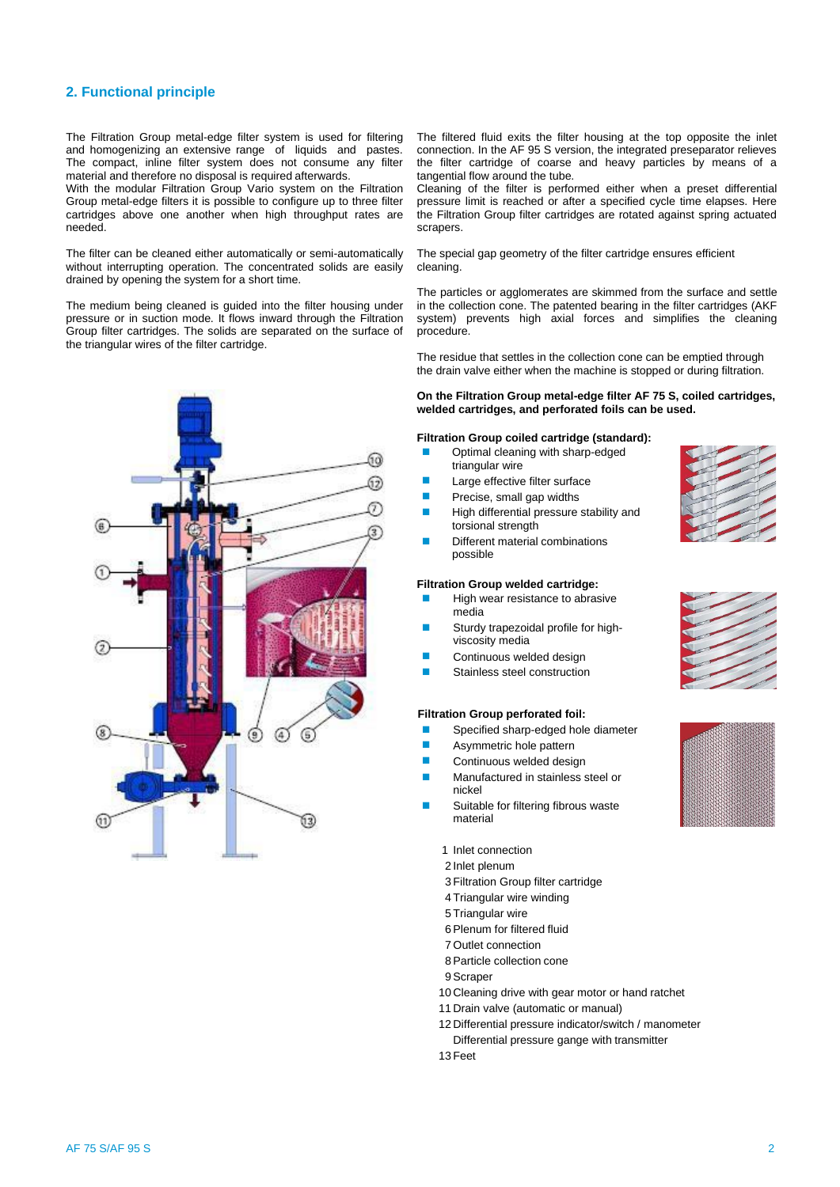### **2. Functional principle**

The Filtration Group metal-edge filter system is used for filtering and homogenizing an extensive range of liquids and pastes. The compact, inline filter system does not consume any filter material and therefore no disposal is required afterwards.

With the modular Filtration Group Vario system on the Filtration Group metal-edge filters it is possible to configure up to three filter cartridges above one another when high throughput rates are needed.

The filter can be cleaned either automatically or semi-automatically without interrupting operation. The concentrated solids are easily drained by opening the system for a short time.

The medium being cleaned is guided into the filter housing under pressure or in suction mode. It flows inward through the Filtration Group filter cartridges. The solids are separated on the surface of the triangular wires of the filter cartridge.



The filtered fluid exits the filter housing at the top opposite the inlet connection. In the AF 95 S version, the integrated preseparator relieves the filter cartridge of coarse and heavy particles by means of a tangential flow around the tube.

Cleaning of the filter is performed either when a preset differential pressure limit is reached or after a specified cycle time elapses. Here the Filtration Group filter cartridges are rotated against spring actuated scrapers.

The special gap geometry of the filter cartridge ensures efficient cleaning.

The particles or agglomerates are skimmed from the surface and settle in the collection cone. The patented bearing in the filter cartridges (AKF system) prevents high axial forces and simplifies the cleaning procedure.

The residue that settles in the collection cone can be emptied through the drain valve either when the machine is stopped or during filtration.

#### **On the Filtration Group metal-edge filter AF 75 S, coiled cartridges, welded cartridges, and perforated foils can be used.**

#### **Filtration Group coiled cartridge (standard):**

- Optimal cleaning with sharp-edged triangular wire
- Large effective filter surface ◼
- Precise, small gap widths ◼
- High differential pressure stability and torsional strength ◼
- Different material combinations possible ◼

#### **Filtration Group welded cartridge:**

- High wear resistance to abrasive media
- Sturdy trapezoidal profile for highviscosity media ◼
- Continuous welded design ◼
- Stainless steel construction ◼

#### **Filtration Group perforated foil:**

- ◼ Specified sharp-edged hole diameter
- ◼ Asymmetric hole pattern
- ◼ Continuous welded design
- ◼ Manufactured in stainless steel or nickel
- Suitable for filtering fibrous waste material ◼
	- 1 Inlet connection
	- 2 Inlet plenum
	- 3 Filtration Group filter cartridge
	- 4 Triangular wire winding
	- 5 Triangular wire
	- 6Plenum for filtered fluid
	- 7 Outlet connection
	- 8Particle collection cone
	- 9Scraper
	- 10 Cleaning drive with gear motor or hand ratchet
	- 11 Drain valve (automatic or manual)
	- 12 Differential pressure indicator/switch / manometer Differential pressure gange with transmitter
	- 13 Feet



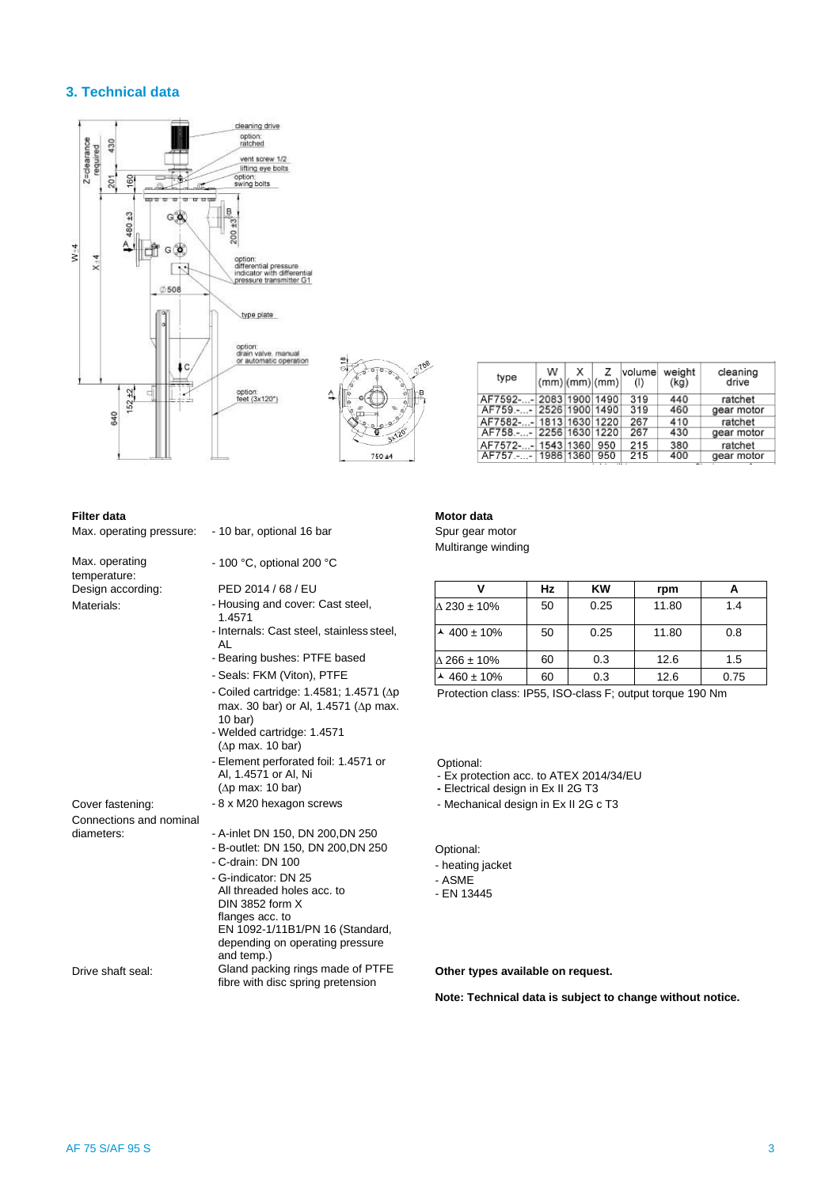### **3. Technical data**



| <b>Filter data</b> |  |
|--------------------|--|

| Max. operating pressure: - 10 bar, optional 16 bar |                                                                                                              |
|----------------------------------------------------|--------------------------------------------------------------------------------------------------------------|
| Max. operating<br>temperature:                     | - 100 °C, optional 200 °C                                                                                    |
| Design according:                                  | PED 2014 / 68 / EU                                                                                           |
| Materials:                                         | - Housing and cover: Cast steel,<br>1.4571                                                                   |
|                                                    | - Internals: Cast steel, stainless steel,<br>AL                                                              |
|                                                    | - Bearing bushes: PTFE based                                                                                 |
|                                                    | - Seals: FKM (Viton), PTFE                                                                                   |
|                                                    | - Coiled cartridge: 1.4581; 1.4571 ( $\Delta p$<br>max. 30 bar) or Al, 1.4571 ( $\Delta p$ max.<br>$10$ bar) |
|                                                    | - Welded cartridge: 1.4571<br>$(\Delta p \text{ max. } 10 \text{ bar})$                                      |
|                                                    | - Element perforated foil: 1.4571 or<br>Al, 1.4571 or Al, Ni                                                 |
|                                                    | $(\Delta p \text{ max}: 10 \text{ bar})$                                                                     |
| Cover fastening:                                   | - 8 x M20 hexagon screws                                                                                     |
| Connections and nominal                            |                                                                                                              |
| diameters:                                         | - A-inlet DN 150, DN 200, DN 250<br>- B-outlet: DN 150, DN 200, DN 250<br>$-C$ -drain: DN 100                |
|                                                    | - G-indicator: DN 25<br>All threaded holes acc. to                                                           |
|                                                    | DIN 3852 form $X$<br>flanges acc. to<br>EN 1092-1/11B1/PN 16 (Standard,<br>depending on operating pressure   |
| Drive shaft seal:                                  | and temp.)<br>Gland packing rings made of PTFE<br>fibre with disc spring pretension                          |

| AF7592-- 2083 1900 1490 |  |     | 319 | 440 |
|-------------------------|--|-----|-----|-----|
| AF759.-- 2526 1900 1490 |  |     | 319 | 460 |
| AF7582-- 1813 1630 1220 |  |     | 267 | 410 |
| AF758.-- 2256 1630 1220 |  |     | 267 | 430 |
| AF7572-- 1543 1360      |  | 950 | 215 | 380 |
| AF757.-- 1986 1360 950  |  |     | 215 | 400 |
|                         |  | --  |     |     |
|                         |  |     |     |     |
|                         |  |     |     |     |

 $\begin{array}{c} |W| \times Z \\ (mm) (mm) (mm) \end{array}$ 

weight<br>(kg)

cleaning

drive

ratchet gear motor

ratchet<br>gear motor

ratchet<br>gear motor

volume

 $(1)$ 

### **Motor data**

Spur gear motor Multirange winding

type

|                             | Hz | KW   | rpm   |      |
|-----------------------------|----|------|-------|------|
| $\Delta$ 230 ± 10%          | 50 | 0.25 | 11.80 | 1.4  |
| $\sim$ 400 ± 10%            | 50 | 0.25 | 11.80 | 0.8  |
| $\Delta$ 266 ± 10%          | 60 | 0.3  | 12.6  | 1.5  |
| $\frac{\lambda}{460}$ ± 10% | 60 | 0.3  | 12.6  | 0.75 |

Protection class: IP55, ISO-class F; output torque 190 Nm

Optional:

- Ex protection acc. to ATEX 2014/34/EU

**-** Electrical design in Ex II 2G T3

- Mechanical design in Ex II 2G c T3

Optional:

- heating jacket
- ASME
- EN 13445

Other types available on request.

**Note: Technical data is subject to change without notice.**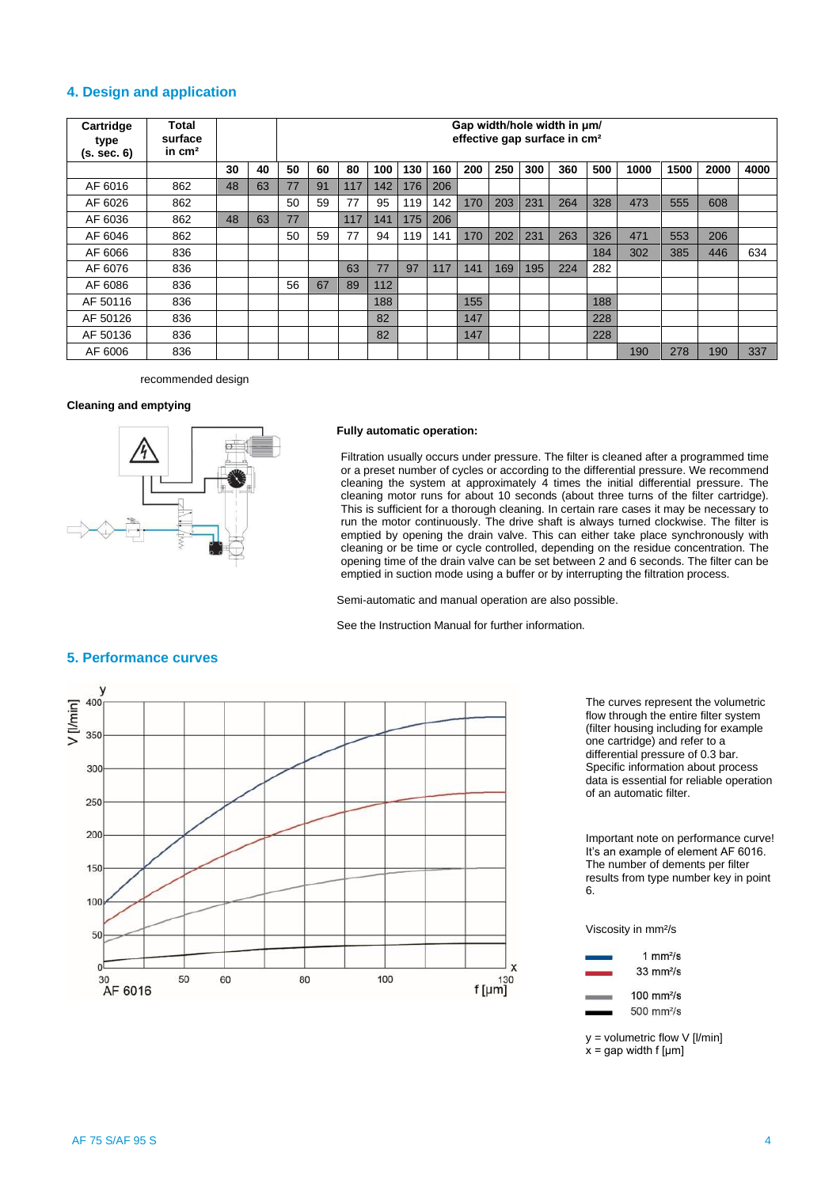### **4. Design and application**

| Cartridge<br>type<br>(s. sec. 6) | Total<br>surface<br>in $cm2$ |    |    |    | Gap width/hole width in $\mu$ m/<br>effective gap surface in cm <sup>2</sup> |     |     |     |     |     |     |     |     |     |      |      |      |      |
|----------------------------------|------------------------------|----|----|----|------------------------------------------------------------------------------|-----|-----|-----|-----|-----|-----|-----|-----|-----|------|------|------|------|
|                                  |                              | 30 | 40 | 50 | 60                                                                           | 80  | 100 | 130 | 160 | 200 | 250 | 300 | 360 | 500 | 1000 | 1500 | 2000 | 4000 |
| AF 6016                          | 862                          | 48 | 63 | 77 | 91                                                                           | 117 | 142 | 176 | 206 |     |     |     |     |     |      |      |      |      |
| AF 6026                          | 862                          |    |    | 50 | 59                                                                           | 77  | 95  | 119 | 142 | 170 | 203 | 231 | 264 | 328 | 473  | 555  | 608  |      |
| AF 6036                          | 862                          | 48 | 63 | 77 |                                                                              | 117 | 141 | 175 | 206 |     |     |     |     |     |      |      |      |      |
| AF 6046                          | 862                          |    |    | 50 | 59                                                                           | 77  | 94  | 119 | 141 | 170 | 202 | 231 | 263 | 326 | 471  | 553  | 206  |      |
| AF 6066                          | 836                          |    |    |    |                                                                              |     |     |     |     |     |     |     |     | 184 | 302  | 385  | 446  | 634  |
| AF 6076                          | 836                          |    |    |    |                                                                              | 63  | 77  | 97  | 117 | 141 | 169 | 195 | 224 | 282 |      |      |      |      |
| AF 6086                          | 836                          |    |    | 56 | 67                                                                           | 89  | 112 |     |     |     |     |     |     |     |      |      |      |      |
| AF 50116                         | 836                          |    |    |    |                                                                              |     | 188 |     |     | 155 |     |     |     | 188 |      |      |      |      |
| AF 50126                         | 836                          |    |    |    |                                                                              |     | 82  |     |     | 147 |     |     |     | 228 |      |      |      |      |
| AF 50136                         | 836                          |    |    |    |                                                                              |     | 82  |     |     | 147 |     |     |     | 228 |      |      |      |      |
| AF 6006                          | 836                          |    |    |    |                                                                              |     |     |     |     |     |     |     |     |     | 190  | 278  | 190  | 337  |

recommended design

### **Cleaning and emptying**



#### **Fully automatic operation:**

Filtration usually occurs under pressure. The filter is cleaned after a programmed time or a preset number of cycles or according to the differential pressure. We recommend cleaning the system at approximately 4 times the initial differential pressure. The cleaning motor runs for about 10 seconds (about three turns of the filter cartridge). This is sufficient for a thorough cleaning. In certain rare cases it may be necessary to run the motor continuously. The drive shaft is always turned clockwise. The filter is emptied by opening the drain valve. This can either take place synchronously with cleaning or be time or cycle controlled, depending on the residue concentration. The opening time of the drain valve can be set between 2 and 6 seconds. The filter can be emptied in suction mode using a buffer or by interrupting the filtration process.

Semi-automatic and manual operation are also possible.

See the Instruction Manual for further information.



The curves represent the volumetric flow through the entire filter system (filter housing including for example one cartridge) and refer to a differential pressure of 0.3 bar. Specific information about process data is essential for reliable operation of an automatic filter.

Important note on performance curve! It's an example of element AF 6016. The number of dements per filter results from type number key in point 6.

Viscosity in mm²/s



 $y =$  volumetric flow V [I/min]

 $x =$  gap width f [µm]

# **5. Performance curves**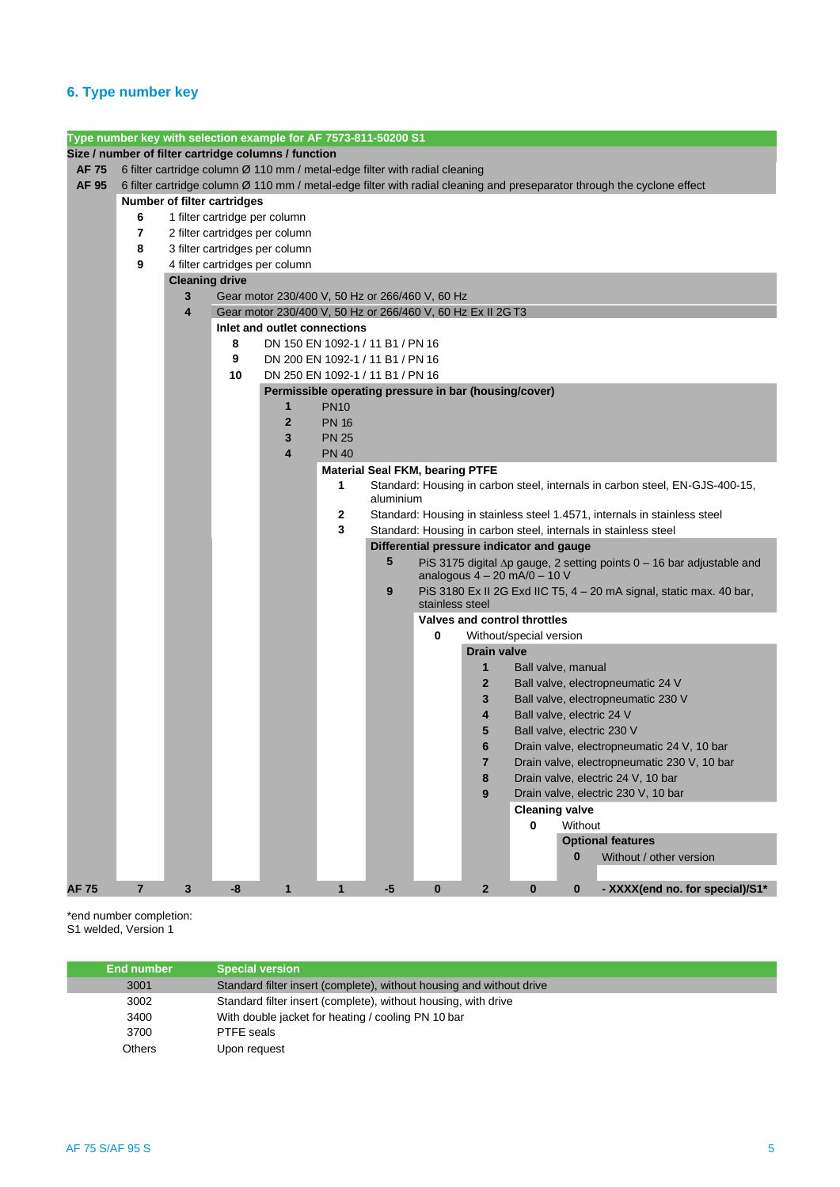## **6. Type number key**

|             |                |                       |                                                                                                                | Type number key with selection example for AF 7573-811-50200 S1             |              |                                        |                 |                         |                                           |          |                                                                                                                         |  |  |  |
|-------------|----------------|-----------------------|----------------------------------------------------------------------------------------------------------------|-----------------------------------------------------------------------------|--------------|----------------------------------------|-----------------|-------------------------|-------------------------------------------|----------|-------------------------------------------------------------------------------------------------------------------------|--|--|--|
|             |                |                       |                                                                                                                | Size / number of filter cartridge columns / function                        |              |                                        |                 |                         |                                           |          |                                                                                                                         |  |  |  |
| AF 75       |                |                       |                                                                                                                | 6 filter cartridge column Ø 110 mm / metal-edge filter with radial cleaning |              |                                        |                 |                         |                                           |          |                                                                                                                         |  |  |  |
| AF 95       |                |                       |                                                                                                                |                                                                             |              |                                        |                 |                         |                                           |          | 6 filter cartridge column Ø 110 mm / metal-edge filter with radial cleaning and preseparator through the cyclone effect |  |  |  |
|             |                |                       | <b>Number of filter cartridges</b>                                                                             |                                                                             |              |                                        |                 |                         |                                           |          |                                                                                                                         |  |  |  |
|             | 6              |                       | 1 filter cartridge per column                                                                                  |                                                                             |              |                                        |                 |                         |                                           |          |                                                                                                                         |  |  |  |
|             | 7              |                       |                                                                                                                | 2 filter cartridges per column                                              |              |                                        |                 |                         |                                           |          |                                                                                                                         |  |  |  |
|             | 8              |                       |                                                                                                                | 3 filter cartridges per column                                              |              |                                        |                 |                         |                                           |          |                                                                                                                         |  |  |  |
|             | 9              |                       |                                                                                                                | 4 filter cartridges per column                                              |              |                                        |                 |                         |                                           |          |                                                                                                                         |  |  |  |
|             |                | <b>Cleaning drive</b> |                                                                                                                |                                                                             |              |                                        |                 |                         |                                           |          |                                                                                                                         |  |  |  |
|             |                | 3                     | Gear motor 230/400 V, 50 Hz or 266/460 V, 60 Hz<br>Gear motor 230/400 V, 50 Hz or 266/460 V, 60 Hz Ex II 2G T3 |                                                                             |              |                                        |                 |                         |                                           |          |                                                                                                                         |  |  |  |
|             |                | 4                     |                                                                                                                |                                                                             |              |                                        |                 |                         |                                           |          |                                                                                                                         |  |  |  |
|             |                |                       | Inlet and outlet connections                                                                                   |                                                                             |              |                                        |                 |                         |                                           |          |                                                                                                                         |  |  |  |
|             |                |                       | 8                                                                                                              | DN 150 EN 1092-1 / 11 B1 / PN 16                                            |              |                                        |                 |                         |                                           |          |                                                                                                                         |  |  |  |
|             |                |                       | 9                                                                                                              | DN 200 EN 1092-1 / 11 B1 / PN 16                                            |              |                                        |                 |                         |                                           |          |                                                                                                                         |  |  |  |
|             |                |                       | 10                                                                                                             | DN 250 EN 1092-1 / 11 B1 / PN 16                                            |              |                                        |                 |                         |                                           |          |                                                                                                                         |  |  |  |
|             |                |                       |                                                                                                                | Permissible operating pressure in bar (housing/cover)                       |              |                                        |                 |                         |                                           |          |                                                                                                                         |  |  |  |
|             |                |                       |                                                                                                                | 1                                                                           | <b>PN10</b>  |                                        |                 |                         |                                           |          |                                                                                                                         |  |  |  |
|             |                |                       |                                                                                                                | $\mathbf{z}$                                                                | <b>PN 16</b> |                                        |                 |                         |                                           |          |                                                                                                                         |  |  |  |
|             |                |                       |                                                                                                                | 3                                                                           | <b>PN 25</b> |                                        |                 |                         |                                           |          |                                                                                                                         |  |  |  |
|             |                |                       |                                                                                                                | 4                                                                           | <b>PN 40</b> |                                        |                 |                         |                                           |          |                                                                                                                         |  |  |  |
|             |                |                       |                                                                                                                |                                                                             |              | <b>Material Seal FKM, bearing PTFE</b> |                 |                         |                                           |          |                                                                                                                         |  |  |  |
|             |                |                       |                                                                                                                |                                                                             | 1            |                                        |                 |                         |                                           |          | Standard: Housing in carbon steel, internals in carbon steel, EN-GJS-400-15,                                            |  |  |  |
|             |                |                       |                                                                                                                |                                                                             |              | aluminium                              |                 |                         |                                           |          |                                                                                                                         |  |  |  |
|             |                |                       |                                                                                                                |                                                                             | 2            |                                        |                 |                         |                                           |          | Standard: Housing in stainless steel 1.4571, internals in stainless steel                                               |  |  |  |
|             |                |                       |                                                                                                                |                                                                             | 3            |                                        |                 |                         |                                           |          | Standard: Housing in carbon steel, internals in stainless steel                                                         |  |  |  |
|             |                |                       |                                                                                                                |                                                                             |              | 5                                      |                 |                         | Differential pressure indicator and gauge |          |                                                                                                                         |  |  |  |
|             |                |                       |                                                                                                                |                                                                             |              |                                        |                 |                         | analogous $4 - 20$ mA/0 $- 10$ V          |          | PiS 3175 digital ∆p gauge, 2 setting points 0 - 16 bar adjustable and                                                   |  |  |  |
|             |                |                       |                                                                                                                |                                                                             |              | 9                                      |                 |                         |                                           |          | PiS 3180 Ex II 2G Exd IIC T5, 4 - 20 mA signal, static max. 40 bar,                                                     |  |  |  |
|             |                |                       |                                                                                                                |                                                                             |              |                                        | stainless steel |                         |                                           |          |                                                                                                                         |  |  |  |
|             |                |                       |                                                                                                                |                                                                             |              |                                        |                 |                         | Valves and control throttles              |          |                                                                                                                         |  |  |  |
|             |                |                       |                                                                                                                |                                                                             |              |                                        | 0               |                         | Without/special version                   |          |                                                                                                                         |  |  |  |
|             |                |                       |                                                                                                                |                                                                             |              |                                        |                 | <b>Drain valve</b>      |                                           |          |                                                                                                                         |  |  |  |
|             |                |                       |                                                                                                                |                                                                             |              |                                        |                 | 1                       | Ball valve, manual                        |          |                                                                                                                         |  |  |  |
|             |                |                       |                                                                                                                |                                                                             |              |                                        |                 | $\mathbf{2}$            |                                           |          | Ball valve, electropneumatic 24 V                                                                                       |  |  |  |
|             |                |                       |                                                                                                                |                                                                             |              |                                        |                 | 3                       |                                           |          | Ball valve, electropneumatic 230 V                                                                                      |  |  |  |
|             |                |                       |                                                                                                                |                                                                             |              |                                        |                 | 4                       | Ball valve, electric 24 V                 |          |                                                                                                                         |  |  |  |
|             |                |                       |                                                                                                                |                                                                             |              |                                        |                 | 5                       |                                           |          | Ball valve, electric 230 V                                                                                              |  |  |  |
|             |                |                       |                                                                                                                |                                                                             |              |                                        |                 | 6                       |                                           |          | Drain valve, electropneumatic 24 V, 10 bar                                                                              |  |  |  |
|             |                |                       |                                                                                                                |                                                                             |              |                                        |                 | 7                       |                                           |          | Drain valve, electropneumatic 230 V, 10 bar                                                                             |  |  |  |
|             |                |                       |                                                                                                                |                                                                             |              |                                        |                 | 8                       |                                           |          | Drain valve, electric 24 V, 10 bar                                                                                      |  |  |  |
|             |                |                       |                                                                                                                |                                                                             |              |                                        |                 | 9                       |                                           |          | Drain valve, electric 230 V, 10 bar                                                                                     |  |  |  |
|             |                |                       |                                                                                                                |                                                                             |              |                                        |                 |                         | <b>Cleaning valve</b>                     |          |                                                                                                                         |  |  |  |
|             |                |                       |                                                                                                                |                                                                             |              |                                        |                 |                         | $\mathbf{0}$                              | Without  |                                                                                                                         |  |  |  |
|             |                |                       |                                                                                                                |                                                                             |              |                                        |                 |                         |                                           |          | <b>Optional features</b>                                                                                                |  |  |  |
|             |                |                       |                                                                                                                |                                                                             |              |                                        |                 |                         |                                           | 0        | Without / other version                                                                                                 |  |  |  |
|             |                |                       |                                                                                                                |                                                                             |              |                                        |                 |                         |                                           |          |                                                                                                                         |  |  |  |
| <b>AF75</b> | $\overline{7}$ | $\mathbf{3}$          | -8                                                                                                             | $\mathbf{1}$                                                                | $\mathbf{1}$ | $-5$                                   | $\bf{0}$        | $\overline{\mathbf{2}}$ | $\bf{0}$                                  | $\bf{0}$ | - XXXX(end no. for special)/S1*                                                                                         |  |  |  |

\*end number completion: S1 welded, Version 1

| End number    | <b>Special version</b>                                               |
|---------------|----------------------------------------------------------------------|
| 3001          | Standard filter insert (complete), without housing and without drive |
| 3002          | Standard filter insert (complete), without housing, with drive       |
| 3400          | With double jacket for heating / cooling PN 10 bar                   |
| 3700          | PTFE seals                                                           |
| <b>Others</b> | Upon request                                                         |